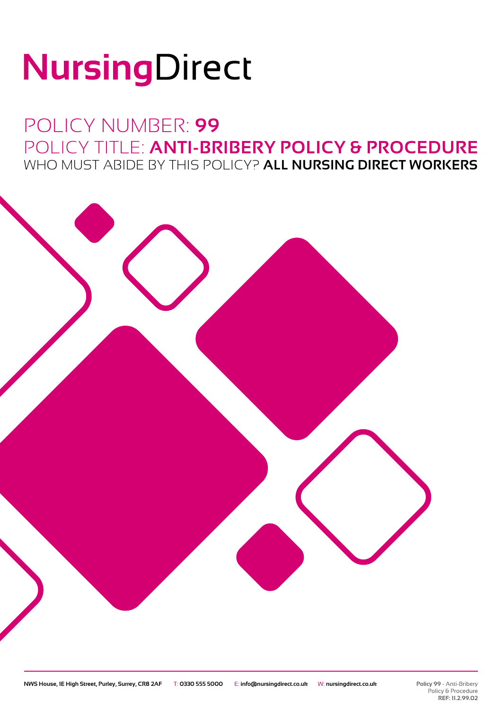# NursingDirect

# POLICY NUMBER: **99** POLICY TITLE: **ANTI-BRIBERY POLICY & PROCEDURE** WHO MUST ABIDE BY THIS POLICY? **ALL NURSING DIRECT WORKERS**

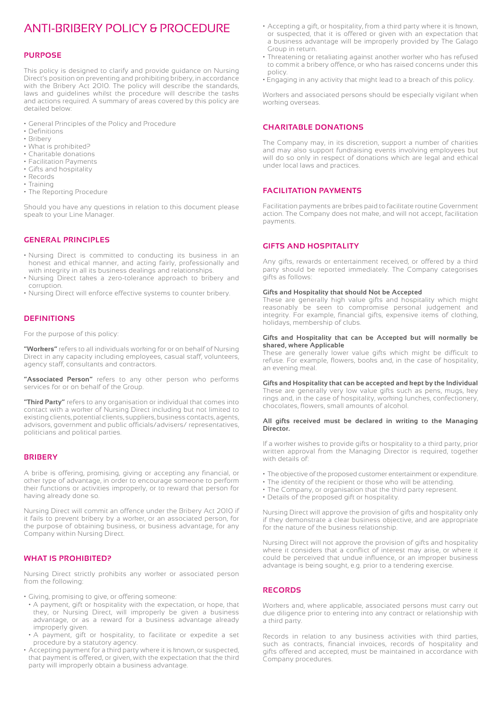## ANTI-BRIBERY POLICY & PROCEDURE

#### **PURPOSE**

This policy is designed to clarify and provide guidance on Nursing Direct's position on preventing and prohibiting bribery, in accordance with the Bribery Act 2010. The policy will describe the standards, laws and guidelines whilst the procedure will describe the tasks and actions required. A summary of areas covered by this policy are detailed below:

- General Principles of the Policy and Procedure
- Definitions
- Bribery
- What is prohibited?
- Charitable donations
- Facilitation Payments
- Gifts and hospitality
- Records
- Training • The Reporting Procedure

Should you have any questions in relation to this document please speak to your Line Manager.

#### **GENERAL PRINCIPLES**

- Nursing Direct is committed to conducting its business in an honest and ethical manner, and acting fairly, professionally and with integrity in all its business dealings and relationships.
- Nursing Direct takes a zero-tolerance approach to bribery and corruption.
- Nursing Direct will enforce effective systems to counter bribery.

#### **DEFINITIONS**

For the purpose of this policy:

**"Workers"** refers to all individuals working for or on behalf of Nursing Direct in any capacity including employees, casual staff, volunteers, agency staff, consultants and contractors.

**"Associated Person"** refers to any other person who performs services for or on behalf of the Group.

**"Third Party"** refers to any organisation or individual that comes into contact with a worker of Nursing Direct including but not limited to existing clients, potential clients, suppliers, business contacts, agents, advisors, government and public officials/advisers/ representatives, politicians and political parties.

#### **BRIBERY**

A bribe is offering, promising, giving or accepting any financial, or other type of advantage, in order to encourage someone to perform their functions or activities improperly, or to reward that person for having already done so.

Nursing Direct will commit an offence under the Bribery Act 2010 if it fails to prevent bribery by a worker, or an associated person, for the purpose of obtaining business, or business advantage, for any Company within Nursing Direct.

#### **WHAT IS PROHIBITED?**

Nursing Direct strictly prohibits any worker or associated person from the following:

- Giving, promising to give, or offering someone:
- A payment, gift or hospitality with the expectation, or hope, that they, or Nursing Direct, will improperly be given a business advantage, or as a reward for a business advantage already improperly given.
- A payment, gift or hospitality, to facilitate or expedite a set procedure by a statutory agency.
- Accepting payment for a third party where it is known, or suspected, that payment is offered, or given, with the expectation that the third party will improperly obtain a business advantage.
- Accepting a gift, or hospitality, from a third party where it is known, or suspected, that it is offered or given with an expectation that a business advantage will be improperly provided by The Galago Group in return.
- Threatening or retaliating against another worker who has refused to commit a bribery offence, or who has raised concerns under this policy.
- Engaging in any activity that might lead to a breach of this policy.

Workers and associated persons should be especially vigilant when working overseas.

#### **CHARITABLE DONATIONS**

The Company may, in its discretion, support a number of charities and may also support fundraising events involving employees but will do so only in respect of donations which are legal and ethical under local laws and practices.

#### **FACILITATION PAYMENTS**

Facilitation payments are bribes paid to facilitate routine Government action. The Company does not make, and will not accept, facilitation payments.

#### **GIFTS AND HOSPITALITY**

Any gifts, rewards or entertainment received, or offered by a third party should be reported immediately. The Company categorises gifts as follows:

#### **Gifts and Hospitality that should Not be Accepted**

These are generally high value gifts and hospitality which might reasonably be seen to compromise personal judgement and integrity. For example, financial gifts, expensive items of clothing, holidays, membership of clubs.

#### **Gifts and Hospitality that can be Accepted but will normally be shared, where Applicable**

These are generally lower value gifts which might be difficult to refuse. For example, flowers, books and, in the case of hospitality, an evening meal.

#### **Gifts and Hospitality that can be accepted and kept by the Individual**

These are generally very low value gifts such as pens, mugs, key rings and, in the case of hospitality, working lunches, confectionery, chocolates, flowers, small amounts of alcohol.

#### **All gifts received must be declared in writing to the Managing Director.**

If a worker wishes to provide gifts or hospitality to a third party, prior written approval from the Managing Director is required, together with details of

- The objective of the proposed customer entertainment or expenditure.
- The identity of the recipient or those who will be attending.
- The Company, or organisation that the third party represent.
- Details of the proposed gift or hospitality.

Nursing Direct will approve the provision of gifts and hospitality only if they demonstrate a clear business objective, and are appropriate for the nature of the business relationship.

Nursing Direct will not approve the provision of gifts and hospitality where it considers that a conflict of interest may arise, or where it could be perceived that undue influence, or an improper business advantage is being sought, e.g. prior to a tendering exercise.

#### **RECORDS**

Workers and, where applicable, associated persons must carry out due diligence prior to entering into any contract or relationship with a third party.

Records in relation to any business activities with third parties, such as contracts, financial invoices, records of hospitality and gifts offered and accepted, must be maintained in accordance with Company procedures.